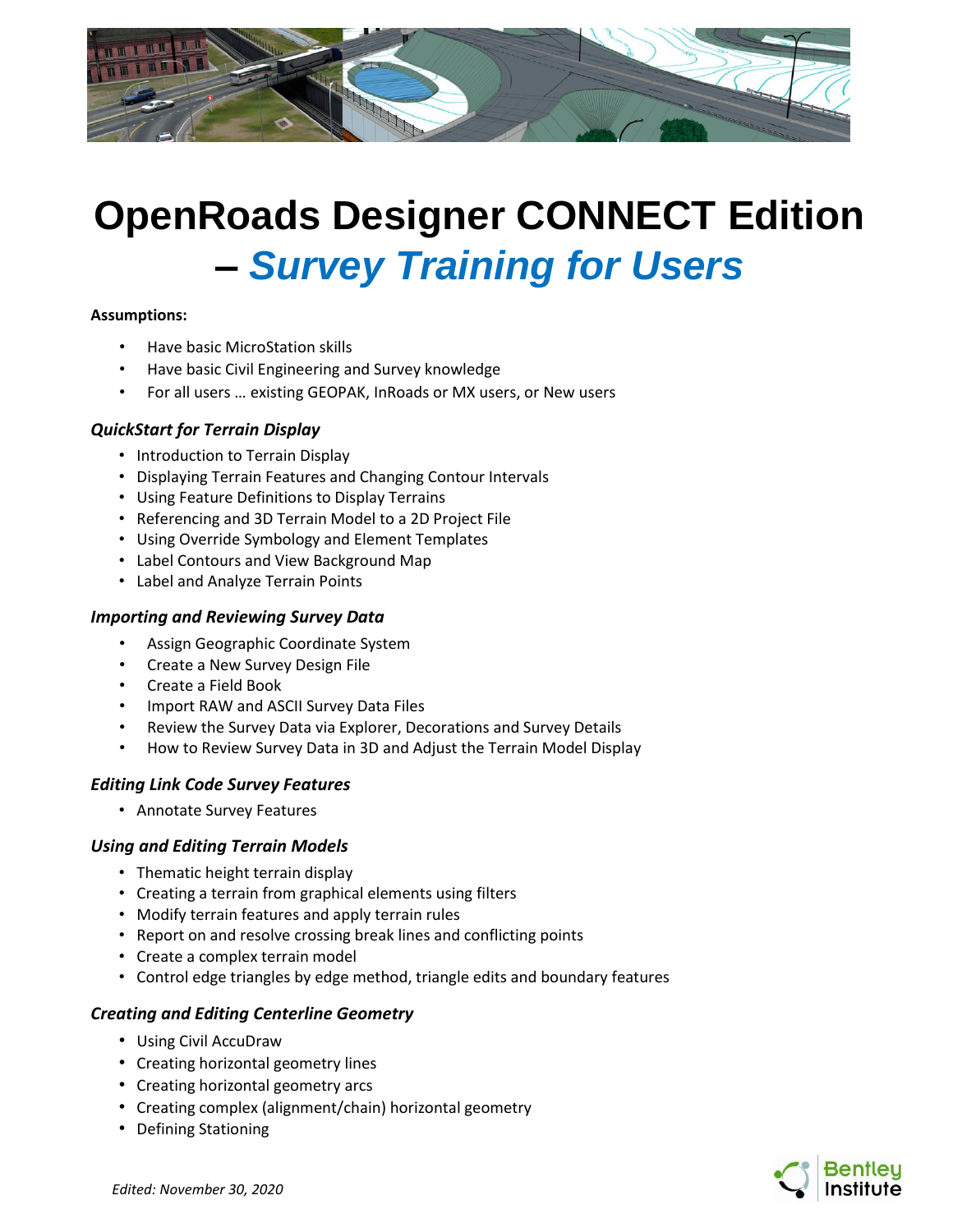

# **OpenRoads Designer CONNECT Edition –** *Survey Training for Users*

#### **Assumptions:**

- Have basic MicroStation skills
- Have basic Civil Engineering and Survey knowledge
- For all users … existing GEOPAK, InRoads or MX users, or New users

## *QuickStart for Terrain Display*

- Introduction to Terrain Display
- Displaying Terrain Features and Changing Contour Intervals
- Using Feature Definitions to Display Terrains
- Referencing and 3D Terrain Model to a 2D Project File
- Using Override Symbology and Element Templates
- Label Contours and View Background Map
- Label and Analyze Terrain Points

### *Importing and Reviewing Survey Data*

- Assign Geographic Coordinate System
- Create a New Survey Design File
- Create a Field Book
- Import RAW and ASCII Survey Data Files
- Review the Survey Data via Explorer, Decorations and Survey Details
- How to Review Survey Data in 3D and Adjust the Terrain Model Display

## *Editing Link Code Survey Features*

• Annotate Survey Features

### *Using and Editing Terrain Models*

- Thematic height terrain display
- Creating a terrain from graphical elements using filters
- Modify terrain features and apply terrain rules
- Report on and resolve crossing break lines and conflicting points
- Create a complex terrain model
- Control edge triangles by edge method, triangle edits and boundary features

## *Creating and Editing Centerline Geometry*

- Using Civil AccuDraw
- Creating horizontal geometry lines
- Creating horizontal geometry arcs
- Creating complex (alignment/chain) horizontal geometry
- Defining Stationing